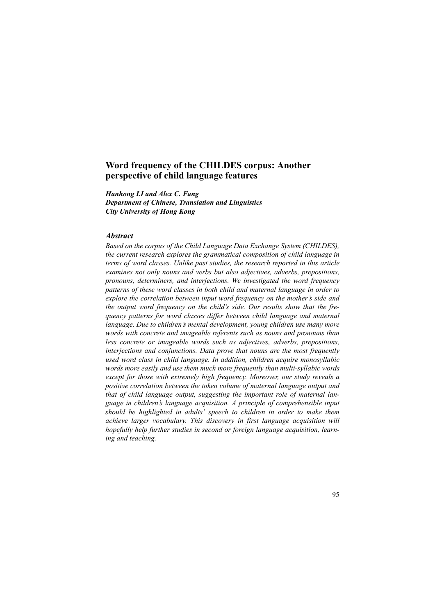# **Word frequency of the CHILDES corpus: Another perspective of child language features**

*Hanhong LI and Alex C. Fang Department of Chinese, Translation and Linguistics*

*City University of Hong Kong*

## *Abstract*

*Based on the corpus of the Child Language Data Exchange System (CHILDES), the current research explores the grammatical composition of child language in terms of word classes. Unlike past studies, the research reported in this article examines not only nouns and verbs but also adjectives, adverbs, prepositions, pronouns, determiners, and interjections. We investigated the word frequency patterns of these word classes in both child and maternal language in order to explore the correlation between input word frequency on the mother's side and the output word frequency on the child's side. Our results show that the frequency patterns for word classes differ between child language and maternal language. Due to children's mental development, young children use many more words with concrete and imageable referents such as nouns and pronouns than less concrete or imageable words such as adjectives, adverbs, prepositions, interjections and conjunctions. Data prove that nouns are the most frequently used word class in child language. In addition, children acquire monosyllabic words more easily and use them much more frequently than multi-syllabic words except for those with extremely high frequency. Moreover, our study reveals a positive correlation between the token volume of maternal language output and that of child language output, suggesting the important role of maternal language in children's language acquisition. A principle of comprehensible input should be highlighted in adults' speech to children in order to make them achieve larger vocabulary. This discovery in first language acquisition will hopefully help further studies in second or foreign language acquisition, learning and teaching.*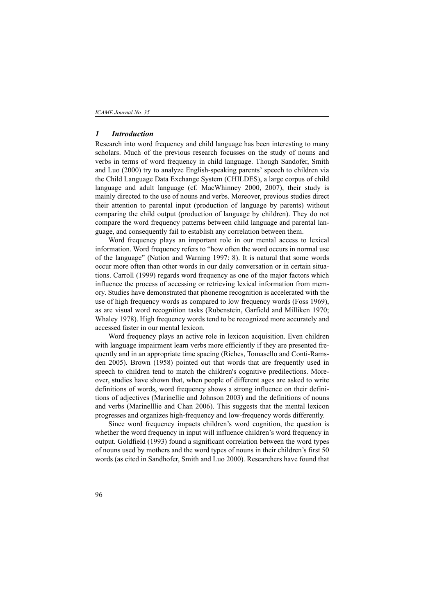#### *1 Introduction*

Research into word frequency and child language has been interesting to many scholars. Much of the previous research focusses on the study of nouns and verbs in terms of word frequency in child language. Though Sandofer, Smith and Luo (2000) try to analyze English-speaking parents' speech to children via the Child Language Data Exchange System (CHILDES), a large corpus of child language and adult language (cf. MacWhinney 2000, 2007), their study is mainly directed to the use of nouns and verbs. Moreover, previous studies direct their attention to parental input (production of language by parents) without comparing the child output (production of language by children). They do not compare the word frequency patterns between child language and parental language, and consequently fail to establish any correlation between them.

Word frequency plays an important role in our mental access to lexical information. Word frequency refers to "how often the word occurs in normal use of the language" (Nation and Warning 1997: 8). It is natural that some words occur more often than other words in our daily conversation or in certain situations. Carroll (1999) regards word frequency as one of the major factors which influence the process of accessing or retrieving lexical information from memory. Studies have demonstrated that phoneme recognition is accelerated with the use of high frequency words as compared to low frequency words (Foss 1969), as are visual word recognition tasks (Rubenstein, Garfield and Milliken 1970; Whaley 1978). High frequency words tend to be recognized more accurately and accessed faster in our mental lexicon.

Word frequency plays an active role in lexicon acquisition. Even children with language impairment learn verbs more efficiently if they are presented frequently and in an appropriate time spacing (Riches, Tomasello and Conti-Ramsden 2005). Brown (1958) pointed out that words that are frequently used in speech to children tend to match the children's cognitive predilections. Moreover, studies have shown that, when people of different ages are asked to write definitions of words, word frequency shows a strong influence on their definitions of adjectives (Marinellie and Johnson 2003) and the definitions of nouns and verbs (Marinelllie and Chan 2006). This suggests that the mental lexicon progresses and organizes high-frequency and low-frequency words differently.

Since word frequency impacts children's word cognition, the question is whether the word frequency in input will influence children's word frequency in output. Goldfield (1993) found a significant correlation between the word types of nouns used by mothers and the word types of nouns in their children's first 50 words (as cited in Sandhofer, Smith and Luo 2000). Researchers have found that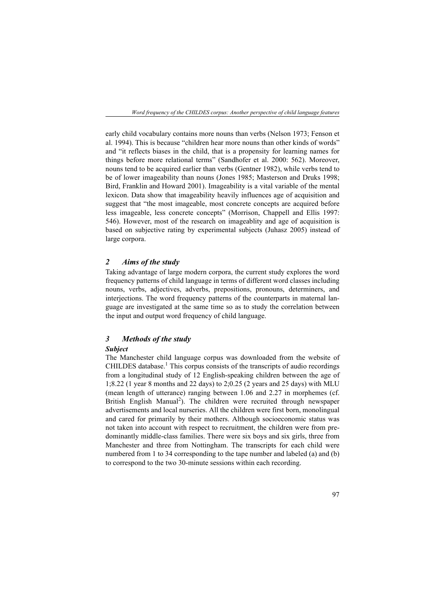early child vocabulary contains more nouns than verbs (Nelson 1973; Fenson et al. 1994). This is because "children hear more nouns than other kinds of words" and "it reflects biases in the child, that is a propensity for learning names for things before more relational terms" (Sandhofer et al. 2000: 562). Moreover, nouns tend to be acquired earlier than verbs (Gentner 1982), while verbs tend to be of lower imageability than nouns (Jones 1985; Masterson and Druks 1998; Bird, Franklin and Howard 2001). Imageability is a vital variable of the mental lexicon. Data show that imageability heavily influences age of acquisition and suggest that "the most imageable, most concrete concepts are acquired before less imageable, less concrete concepts" (Morrison, Chappell and Ellis 1997: 546). However, most of the research on imageablity and age of acquisition is based on subjective rating by experimental subjects (Juhasz 2005) instead of large corpora.

## *2 Aims of the study*

Taking advantage of large modern corpora, the current study explores the word frequency patterns of child language in terms of different word classes including nouns, verbs, adjectives, adverbs, prepositions, pronouns, determiners, and interjections. The word frequency patterns of the counterparts in maternal language are investigated at the same time so as to study the correlation between the input and output word frequency of child language.

## *3 Methods of the study*

#### *Subject*

The Manchester child language corpus was downloaded from the website of CHILDES database.<sup>1</sup> This corpus consists of the transcripts of audio recordings from a longitudinal study of 12 English-speaking children between the age of 1;8.22 (1 year 8 months and 22 days) to 2;0.25 (2 years and 25 days) with MLU (mean length of utterance) ranging between 1.06 and 2.27 in morphemes (cf. British English Manual<sup>2</sup>). The children were recruited through newspaper advertisements and local nurseries. All the children were first born, monolingual and cared for primarily by their mothers. Although socioeconomic status was not taken into account with respect to recruitment, the children were from predominantly middle-class families. There were six boys and six girls, three from Manchester and three from Nottingham. The transcripts for each child were numbered from 1 to 34 corresponding to the tape number and labeled (a) and (b) to correspond to the two 30-minute sessions within each recording.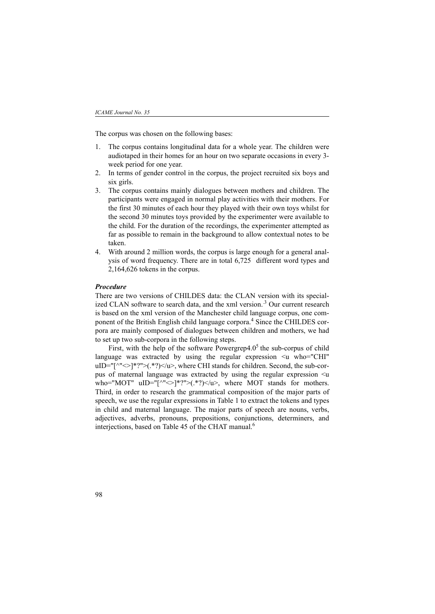The corpus was chosen on the following bases:

- 1. The corpus contains longitudinal data for a whole year. The children were audiotaped in their homes for an hour on two separate occasions in every 3 week period for one year.
- 2. In terms of gender control in the corpus, the project recruited six boys and six girls.
- 3. The corpus contains mainly dialogues between mothers and children. The participants were engaged in normal play activities with their mothers. For the first 30 minutes of each hour they played with their own toys whilst for the second 30 minutes toys provided by the experimenter were available to the child. For the duration of the recordings, the experimenter attempted as far as possible to remain in the background to allow contextual notes to be taken.
- 4. With around 2 million words, the corpus is large enough for a general analysis of word frequency. There are in total 6,725 different word types and 2,164,626 tokens in the corpus.

#### *Procedure*

There are two versions of CHILDES data: the CLAN version with its specialized CLAN software to search data, and the xml version.<sup>3</sup> Our current research is based on the xml version of the Manchester child language corpus, one component of the British English child language corpora.<sup>4</sup> Since the CHILDES corpora are mainly composed of dialogues between children and mothers, we had to set up two sub-corpora in the following steps.

First, with the help of the software Powergrep $4.0<sup>5</sup>$  the sub-corpus of child language was extracted by using the regular expression  $\leq$ u who="CHI" uID="[^" $\langle$ ]\*?">(.\*?)</u>, where CHI stands for children. Second, the sub-corpus of maternal language was extracted by using the regular expression  $\leq u$ who="MOT" uID="[^"<>]\*?">(.\*?)</u>, where MOT stands for mothers. Third, in order to research the grammatical composition of the major parts of speech, we use the regular expressions in Table 1 to extract the tokens and types in child and maternal language. The major parts of speech are nouns, verbs, adjectives, adverbs, pronouns, prepositions, conjunctions, determiners, and interjections, based on Table 45 of the CHAT manual.<sup>6</sup>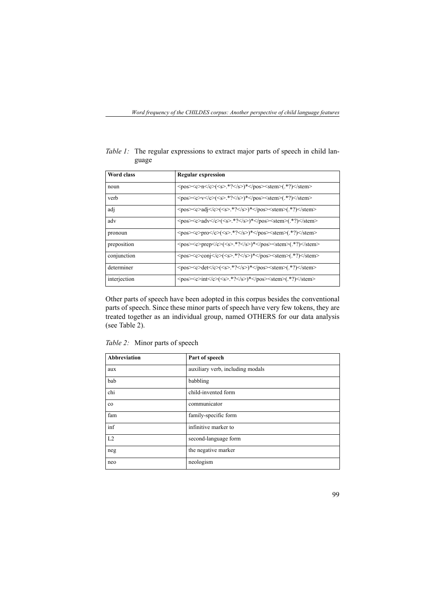| Word class   | <b>Regular expression</b>                                                                                                                                                    |
|--------------|------------------------------------------------------------------------------------------------------------------------------------------------------------------------------|
| noun         | $\langle pos \rangle \langle c \rangle n \langle c \rangle (\langle s \rangle.^*? \langle s \rangle)^* \langle pos \rangle \langle stem \rangle (.^*?) \langle stem \rangle$ |
| verb         | $\langle pos \rangle \langle c \rangle \langle c \rangle \langle \langle s \rangle^* \langle s \rangle \rangle^* \langle pos \rangle \langle stem \rangle$                   |
| adj          | $<$ pos> $<$ c>adj $(<$ s>.*?)* $<$ stem> $($ .*?)                                                                                                                           |
| adv          | $<$ pos> $<$ c>adv $<$ /c> $(<$ s>.*? $<$ /s>)* $<$ /pos> $<$ stem> $($ .*? $)<$ /stem>                                                                                      |
| pronoun      | $\langle pos \rangle \langle c \rangle \text{pro} \langle \langle s \rangle^* \langle s \rangle \rangle^* \langle pos \rangle \langle stem \rangle$                          |
| preposition  | <pos><c>prep</c>&gt;(<s>.*?</s>&gt;/</pos> <stem>(.*?)</stem>                                                                                                                |
| conjunction  | $<$ pos> $<$ c>conj $(<$ s>.*?)* $<$ stem> $($ .*?)                                                                                                                          |
| determiner   | <pos><c>det</c>&lt;<s>.*?</s>&gt;*</pos> <stem>(.*?)</stem>                                                                                                                  |
| interjection | $<$ pos> $<$ c>int $(<$ s>.*?)* $<$ stem> $($ .*?)                                                                                                                           |

*Table 1:* The regular expressions to extract major parts of speech in child language

Other parts of speech have been adopted in this corpus besides the conventional parts of speech. Since these minor parts of speech have very few tokens, they are treated together as an individual group, named OTHERS for our data analysis (see Table 2).

*Table 2:* Minor parts of speech

| <b>Abbreviation</b> | Part of speech                   |
|---------------------|----------------------------------|
| aux                 | auxiliary verb, including modals |
| bab                 | babbling                         |
| chi                 | child-invented form              |
| $_{\rm co}$         | communicator                     |
| fam                 | family-specific form             |
| inf                 | infinitive marker to             |
| L2                  | second-language form             |
| neg                 | the negative marker              |
| neo                 | neologism                        |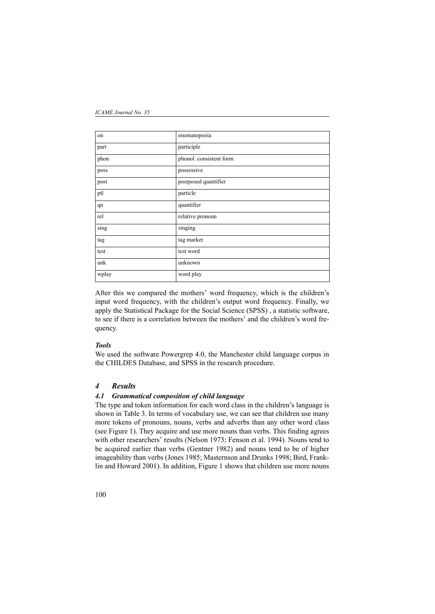| on    | onomatopoeia            |
|-------|-------------------------|
| part  | participle              |
| phon  | phonol. consistent form |
| poss  | possessive              |
| post  | postposed quantifier    |
| ptl   | particle                |
| qn    | quantifier              |
| rel   | relative pronoun        |
| sing  | singing                 |
| tag   | tag marker              |
| test  | test word               |
| unk   | unknown                 |
| wplay | word play               |

After this we compared the mothers' word frequency, which is the children's input word frequency, with the children's output word frequency. Finally, we apply the Statistical Package for the Social Science (SPSS) , a statistic software, to see if there is a correlation between the mothers' and the children's word frequency.

#### *Tools*

We used the software Powergrep 4.0, the Manchester child language corpus in the CHILDES Database, and SPSS in the research procedure.

### *4 Results*

## *4.1 Grammatical composition of child language*

The type and token information for each word class in the children's language is shown in Table 3. In terms of vocabulary use, we can see that children use many more tokens of pronouns, nouns, verbs and adverbs than any other word class (see Figure 1). They acquire and use more nouns than verbs. This finding agrees with other researchers' results (Nelson 1973; Fenson et al. 1994). Nouns tend to be acquired earlier than verbs (Gentner 1982) and nouns tend to be of higher imageability than verbs (Jones 1985; Masternson and Drunks 1998; Bird, Franklin and Howard 2001). In addition, Figure 1 shows that children use more nouns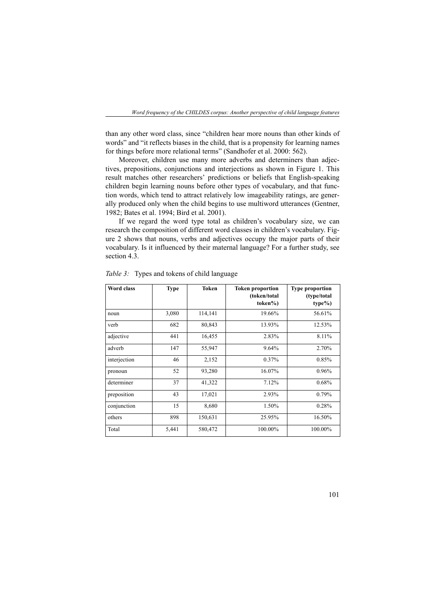than any other word class, since "children hear more nouns than other kinds of words" and "it reflects biases in the child, that is a propensity for learning names for things before more relational terms" (Sandhofer et al. 2000: 562).

Moreover, children use many more adverbs and determiners than adjectives, prepositions, conjunctions and interjections as shown in Figure 1. This result matches other researchers' predictions or beliefs that English-speaking children begin learning nouns before other types of vocabulary, and that function words, which tend to attract relatively low imageability ratings, are generally produced only when the child begins to use multiword utterances (Gentner, 1982; Bates et al. 1994; Bird et al. 2001).

If we regard the word type total as children's vocabulary size, we can research the composition of different word classes in children's vocabulary. Figure 2 shows that nouns, verbs and adjectives occupy the major parts of their vocabulary. Is it influenced by their maternal language? For a further study, see section 4.3.

| <b>Word class</b> | <b>Type</b> | <b>Token</b> | <b>Token proportion</b><br>(token/total<br>token%) | <b>Type proportion</b><br>(type/total<br>type%) |
|-------------------|-------------|--------------|----------------------------------------------------|-------------------------------------------------|
| noun              | 3,080       | 114,141      | 19.66%                                             | 56.61%                                          |
| verb              | 682         | 80,843       | 13.93%                                             | 12.53%                                          |
| adjective         | 441         | 16,455       | 2.83%                                              | 8.11%                                           |
| adverb            | 147         | 55,947       | 9.64%                                              | 2.70%                                           |
| interjection      | 46          | 2,152        | 0.37%                                              | 0.85%                                           |
| pronoun           | 52          | 93,280       | 16.07%                                             | $0.96\%$                                        |
| determiner        | 37          | 41,322       | 7.12%                                              | 0.68%                                           |
| preposition       | 43          | 17,021       | 2.93%                                              | 0.79%                                           |
| conjunction       | 15          | 8,680        | 1.50%                                              | 0.28%                                           |
| others            | 898         | 150,631      | 25.95%                                             | 16.50%                                          |
| Total             | 5,441       | 580,472      | 100.00%                                            | 100.00%                                         |

*Table 3:* Types and tokens of child language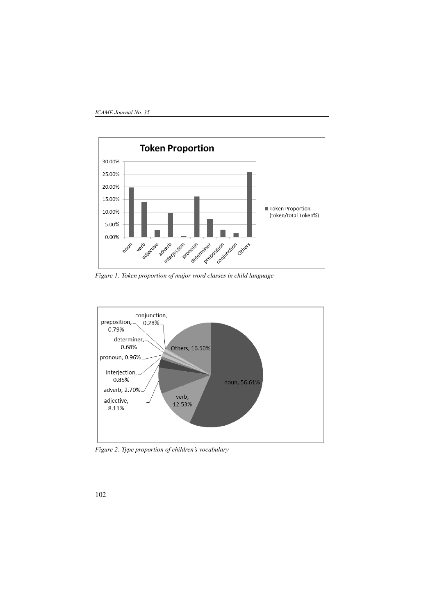

*Figure 1: Token proportion of major word classes in child language*



*Figure 2: Type proportion of children's vocabulary*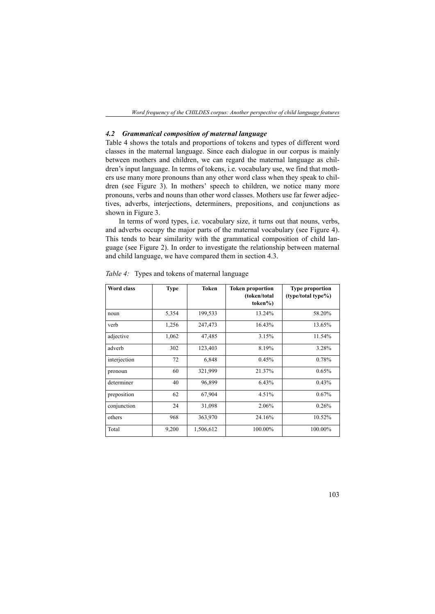*Word frequency of the CHILDES corpus: Another perspective of child language features*

## *4.2 Grammatical composition of maternal language*

Table 4 shows the totals and proportions of tokens and types of different word classes in the maternal language. Since each dialogue in our corpus is mainly between mothers and children, we can regard the maternal language as children's input language. In terms of tokens, i.e. vocabulary use, we find that mothers use many more pronouns than any other word class when they speak to children (see Figure 3). In mothers' speech to children, we notice many more pronouns, verbs and nouns than other word classes. Mothers use far fewer adjectives, adverbs, interjections, determiners, prepositions, and conjunctions as shown in Figure 3.

In terms of word types, i.e. vocabulary size, it turns out that nouns, verbs, and adverbs occupy the major parts of the maternal vocabulary (see Figure 4). This tends to bear similarity with the grammatical composition of child language (see Figure 2). In order to investigate the relationship between maternal and child language, we have compared them in section 4.3.

| <b>Word class</b> | <b>Type</b> | <b>Token</b> | <b>Token proportion</b><br>(token/total<br>token%) | <b>Type proportion</b><br>(type/total type%) |
|-------------------|-------------|--------------|----------------------------------------------------|----------------------------------------------|
| noun              | 5,354       | 199,533      | 13.24%                                             | 58.20%                                       |
| verb              | 1,256       | 247,473      | 16.43%                                             | 13.65%                                       |
| adjective         | 1,062       | 47,485       | 3.15%                                              | 11.54%                                       |
| adverb            | 302         | 123,403      | 8.19%                                              | 3.28%                                        |
| interjection      | 72          | 6,848        | 0.45%                                              | 0.78%                                        |
| pronoun           | 60          | 321,999      | 21.37%                                             | 0.65%                                        |
| determiner        | 40          | 96,899       | 6.43%                                              | 0.43%                                        |
| preposition       | 62          | 67,904       | 4.51%                                              | 0.67%                                        |
| conjunction       | 24          | 31,098       | 2.06%                                              | 0.26%                                        |
| others            | 968         | 363,970      | 24.16%                                             | 10.52%                                       |
| Total             | 9,200       | 1,506,612    | 100.00%                                            | 100.00%                                      |

*Table 4:* Types and tokens of maternal language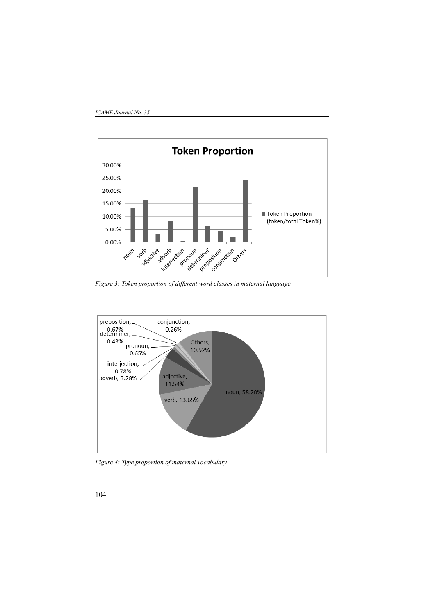

*Figure 3: Token proportion of different word classes in maternal language*



*Figure 4: Type proportion of maternal vocabulary*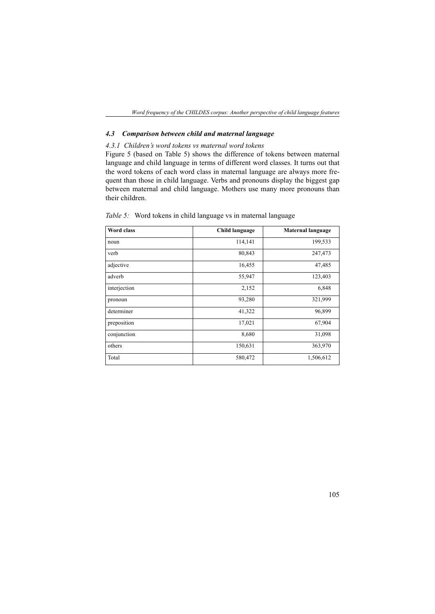*Word frequency of the CHILDES corpus: Another perspective of child language features*

## *4.3 Comparison between child and maternal language*

## *4.3.1 Children's word tokens vs maternal word tokens*

Figure 5 (based on Table 5) shows the difference of tokens between maternal language and child language in terms of different word classes. It turns out that the word tokens of each word class in maternal language are always more frequent than those in child language. Verbs and pronouns display the biggest gap between maternal and child language. Mothers use many more pronouns than their children.

| <b>Word class</b> | Child language | <b>Maternal language</b> |
|-------------------|----------------|--------------------------|
| noun              | 114,141        | 199,533                  |
| verb              | 80,843         | 247,473                  |
| adjective         | 16,455         | 47,485                   |
| adverb            | 55,947         | 123,403                  |
| interjection      | 2,152          | 6,848                    |
| pronoun           | 93,280         | 321,999                  |
| determiner        | 41,322         | 96,899                   |
| preposition       | 17,021         | 67,904                   |
| conjunction       | 8,680          | 31,098                   |
| others            | 150,631        | 363,970                  |
| Total             | 580,472        | 1,506,612                |

*Table 5:* Word tokens in child language vs in maternal language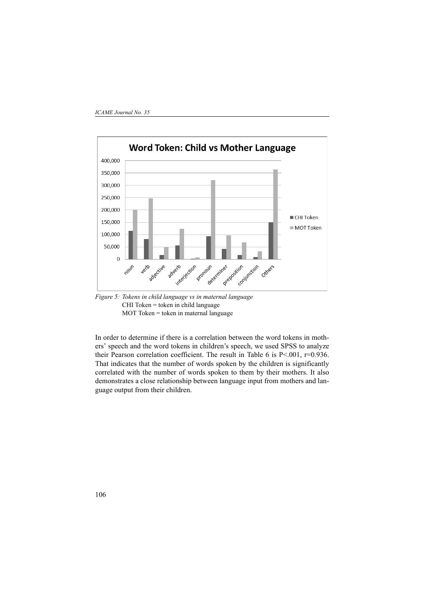

*Figure 5: Tokens in child language vs in maternal language*  CHI Token = token in child language MOT Token = token in maternal language

In order to determine if there is a correlation between the word tokens in mothers' speech and the word tokens in children's speech, we used SPSS to analyze their Pearson correlation coefficient. The result in Table 6 is P<.001, r=0.936. That indicates that the number of words spoken by the children is significantly correlated with the number of words spoken to them by their mothers. It also demonstrates a close relationship between language input from mothers and language output from their children.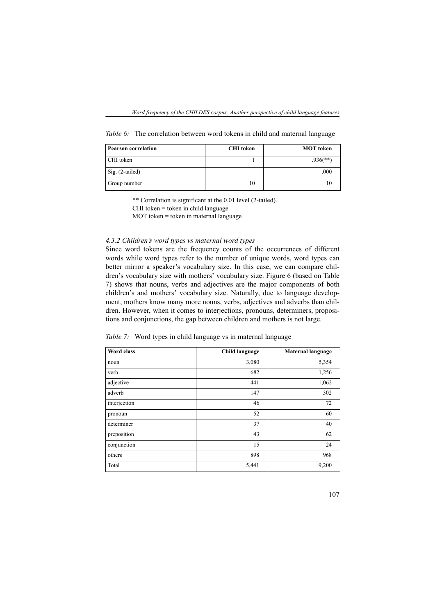*Table 6:* The correlation between word tokens in child and maternal language

| <b>Pearson correlation</b> | <b>CHI</b> token | <b>MOT</b> token |
|----------------------------|------------------|------------------|
| CHI token                  |                  | $.936$ (**)      |
| Sig. (2-tailed)            |                  | .000             |
| Group number               | 10               |                  |

\*\* Correlation is significant at the 0.01 level (2-tailed).

 $CHI$  token = token in child language

 $MOT$  token = token in maternal language

## *4.3.2 Children's word types vs maternal word types*

Since word tokens are the frequency counts of the occurrences of different words while word types refer to the number of unique words, word types can better mirror a speaker's vocabulary size. In this case, we can compare children's vocabulary size with mothers' vocabulary size. Figure 6 (based on Table 7) shows that nouns, verbs and adjectives are the major components of both children's and mothers' vocabulary size. Naturally, due to language development, mothers know many more nouns, verbs, adjectives and adverbs than children. However, when it comes to interjections, pronouns, determiners, propositions and conjunctions, the gap between children and mothers is not large.

*Table 7:* Word types in child language vs in maternal language

| Word class   | <b>Child language</b> | <b>Maternal language</b> |
|--------------|-----------------------|--------------------------|
| noun         | 3,080                 | 5,354                    |
| verb         | 682                   | 1,256                    |
| adjective    | 441                   | 1,062                    |
| adverb       | 147                   | 302                      |
| interjection | 46                    | 72                       |
| pronoun      | 52                    | 60                       |
| determiner   | 37                    | 40                       |
| preposition  | 43                    | 62                       |
| conjunction  | 15                    | 24                       |
| others       | 898                   | 968                      |
| Total        | 5,441                 | 9,200                    |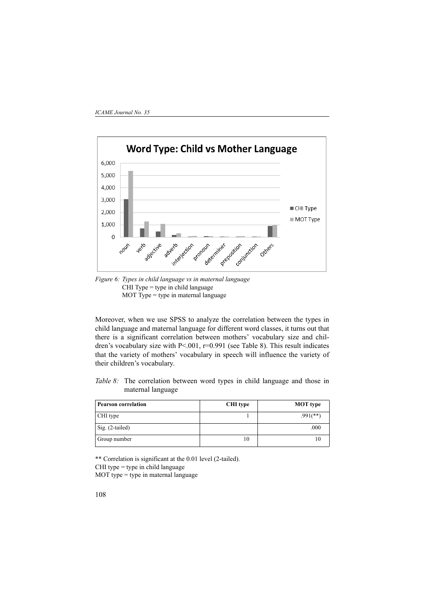

*Figure 6: Types in child language vs in maternal language* CHI Type = type in child language MOT Type  $=$  type in maternal language

Moreover, when we use SPSS to analyze the correlation between the types in child language and maternal language for different word classes, it turns out that there is a significant correlation between mothers' vocabulary size and children's vocabulary size with  $P \le 0.001$ ,  $r=0.991$  (see Table 8). This result indicates that the variety of mothers' vocabulary in speech will influence the variety of their children's vocabulary.

*Table 8:* The correlation between word types in child language and those in maternal language

| <b>Pearson correlation</b> | CHI type | <b>MOT</b> type |
|----------------------------|----------|-----------------|
| CHI type                   |          | $.991$ (**)     |
| Sig. (2-tailed)            |          | .000            |
| Group number               | 10       |                 |

\*\* Correlation is significant at the 0.01 level (2-tailed). CHI type  $=$  type in child language  $MOT$  type = type in maternal language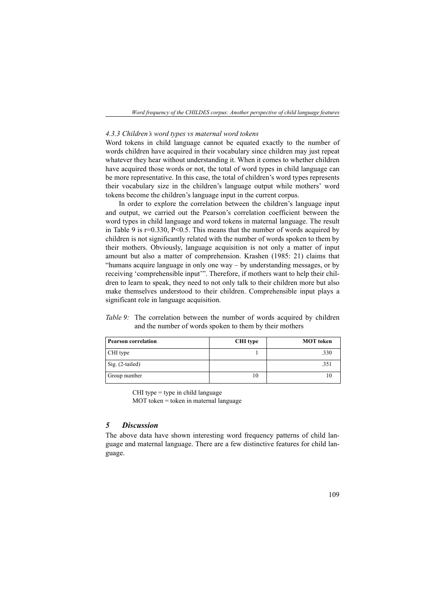## *4.3.3 Children's word types vs maternal word tokens*

Word tokens in child language cannot be equated exactly to the number of words children have acquired in their vocabulary since children may just repeat whatever they hear without understanding it. When it comes to whether children have acquired those words or not, the total of word types in child language can be more representative. In this case, the total of children's word types represents their vocabulary size in the children's language output while mothers' word tokens become the children's language input in the current corpus.

In order to explore the correlation between the children's language input and output, we carried out the Pearson's correlation coefficient between the word types in child language and word tokens in maternal language. The result in Table 9 is  $r=0.330$ ,  $P<0.5$ . This means that the number of words acquired by children is not significantly related with the number of words spoken to them by their mothers. Obviously, language acquisition is not only a matter of input amount but also a matter of comprehension. Krashen (1985: 21) claims that "humans acquire language in only one way – by understanding messages, or by receiving 'comprehensible input'". Therefore, if mothers want to help their children to learn to speak, they need to not only talk to their children more but also make themselves understood to their children. Comprehensible input plays a significant role in language acquisition.

## *Table 9:* The correlation between the number of words acquired by children and the number of words spoken to them by their mothers

| <b>Pearson correlation</b> | CHI type | <b>MOT</b> token |
|----------------------------|----------|------------------|
| CHI type                   |          | .330             |
| Sig. (2-tailed)            |          | .351             |
| Group number               | 10       |                  |

CHI type  $=$  type in child language

MOT token = token in maternal language

### *5 Discussion*

The above data have shown interesting word frequency patterns of child language and maternal language. There are a few distinctive features for child language.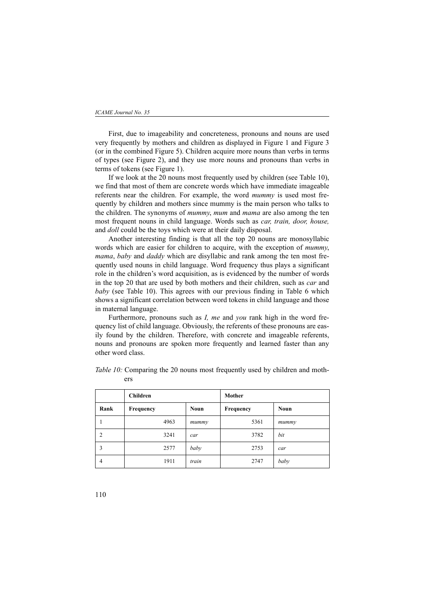#### *ICAME Journal No. 35*

First, due to imageability and concreteness, pronouns and nouns are used very frequently by mothers and children as displayed in Figure 1 and Figure 3 (or in the combined Figure 5). Children acquire more nouns than verbs in terms of types (see Figure 2), and they use more nouns and pronouns than verbs in terms of tokens (see Figure 1).

 If we look at the 20 nouns most frequently used by children (see Table 10), we find that most of them are concrete words which have immediate imageable referents near the children. For example, the word *mummy* is used most frequently by children and mothers since mummy is the main person who talks to the children. The synonyms of *mummy*, *mum* and *mama* are also among the ten most frequent nouns in child language. Words such as *car, train, door, house,* and *doll* could be the toys which were at their daily disposal.

Another interesting finding is that all the top 20 nouns are monosyllabic words which are easier for children to acquire, with the exception of *mummy*, *mama*, *baby* and *daddy* which are disyllabic and rank among the ten most frequently used nouns in child language. Word frequency thus plays a significant role in the children's word acquisition, as is evidenced by the number of words in the top 20 that are used by both mothers and their children, such as *car* and *baby* (see Table 10). This agrees with our previous finding in Table 6 which shows a significant correlation between word tokens in child language and those in maternal language.

Furthermore, pronouns such as *I, me* and *you* rank high in the word frequency list of child language. Obviously, the referents of these pronouns are easily found by the children. Therefore, with concrete and imageable referents, nouns and pronouns are spoken more frequently and learned faster than any other word class.

|                | <b>Children</b> |             | Mother    |             |
|----------------|-----------------|-------------|-----------|-------------|
| Rank           | Frequency       | <b>Noun</b> | Frequency | <b>Noun</b> |
| 1              | 4963            | mummy       | 5361      | mummy       |
| $\overline{2}$ | 3241            | car         | 3782      | bit         |
| 3              | 2577            | baby        | 2753      | car         |
| 4              | 1911            | train       | 2747      | baby        |

*Table 10:* Comparing the 20 nouns most frequently used by children and mothers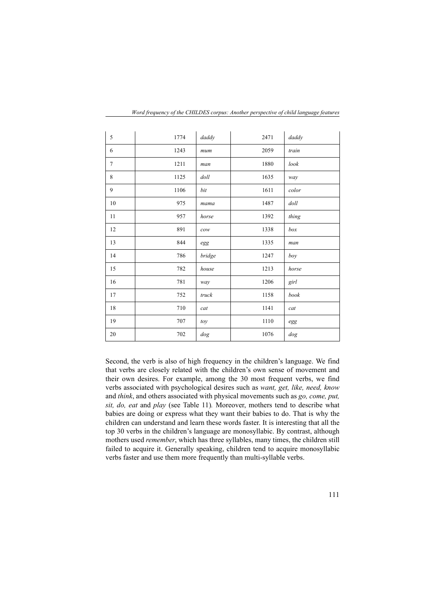| 5              | 1774 | daddy                             | 2471 | daddy                       |
|----------------|------|-----------------------------------|------|-----------------------------|
| 6              | 1243 | mum                               | 2059 | train                       |
| $\overline{7}$ | 1211 | man                               | 1880 | look                        |
| 8              | 1125 | doll                              | 1635 | way                         |
| 9              | 1106 | bit                               | 1611 | color                       |
| 10             | 975  | mama                              | 1487 | doll                        |
| 11             | 957  | horse                             | 1392 | thing                       |
| 12             | 891  | $\mathop{\mathcal{C}\mathit{OW}}$ | 1338 | box                         |
| 13             | 844  | $\operatorname{egg}$              | 1335 | man                         |
| 14             | 786  | bridge                            | 1247 | boy                         |
| 15             | 782  | house                             | 1213 | horse                       |
| 16             | 781  | way                               | 1206 | girl                        |
| 17             | 752  | truck                             | 1158 | book                        |
| 18             | 710  | cat                               | 1141 | cat                         |
| 19             | 707  | toy                               | 1110 | $\operatorname{egg}$        |
| 20             | 702  | dog                               | 1076 | $\ensuremath{\textit{dog}}$ |

*Word frequency of the CHILDES corpus: Another perspective of child language features*

Second, the verb is also of high frequency in the children's language. We find that verbs are closely related with the children's own sense of movement and their own desires. For example, among the 30 most frequent verbs, we find verbs associated with psychological desires such as *want, get, like, need, know* and *think*, and others associated with physical movements such as *go, come, put, sit, do, eat* and *play* (see Table 11)*.* Moreover, mothers tend to describe what babies are doing or express what they want their babies to do. That is why the children can understand and learn these words faster. It is interesting that all the top 30 verbs in the children's language are monosyllabic. By contrast, although mothers used *remember*, which has three syllables, many times, the children still failed to acquire it. Generally speaking, children tend to acquire monosyllabic verbs faster and use them more frequently than multi-syllable verbs.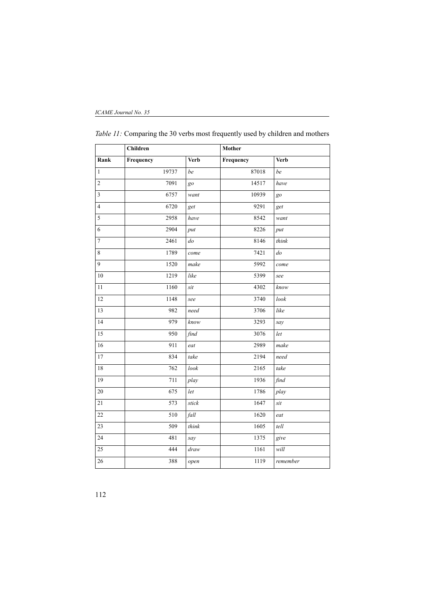|                         | <b>Children</b> |             | Mother    |             |
|-------------------------|-----------------|-------------|-----------|-------------|
| Rank                    | Frequency       | <b>Verb</b> | Frequency | <b>Verb</b> |
| $\mathbf{1}$            | 19737           | be          | 87018     | be          |
| $\sqrt{2}$              | 7091            | $g_{0}$     | 14517     | have        |
| $\overline{\mathbf{3}}$ | 6757            | want        | 10939     | go          |
| $\overline{4}$          | 6720            | get         | 9291      | get         |
| 5                       | 2958            | have        | 8542      | want        |
| 6                       | 2904            | put         | 8226      | put         |
| $\overline{7}$          | 2461            | $d$ o       | 8146      | think       |
| $\,8\,$                 | 1789            | come        | 7421      | $d$ o       |
| 9                       | 1520            | make        | 5992      | come        |
| 10                      | 1219            | like        | 5399      | see         |
| 11                      | 1160            | sit         | 4302      | know        |
| 12                      | 1148            | see         | 3740      | look        |
| 13                      | 982             | need        | 3706      | like        |
| 14                      | 979             | know        | 3293      | say         |
| $\overline{15}$         | 950             | find        | 3076      | let         |
| $\overline{16}$         | 911             | eat         | 2989      | make        |
| $17\,$                  | 834             | take        | 2194      | need        |
| 18                      | 762             | look        | 2165      | take        |
| 19                      | 711             | play        | 1936      | find        |
| 20                      | 675             | let         | 1786      | play        |
| 21                      | 573             | stick       | 1647      | sit         |
| $\overline{22}$         | 510             | fall        | 1620      | eat         |
| 23                      | 509             | think       | 1605      | tell        |
| 24                      | 481             | say         | 1375      | give        |
| 25                      | 444             | draw        | 1161      | will        |
| 26                      | 388             | open        | 1119      | remember    |

*Table 11:* Comparing the 30 verbs most frequently used by children and mothers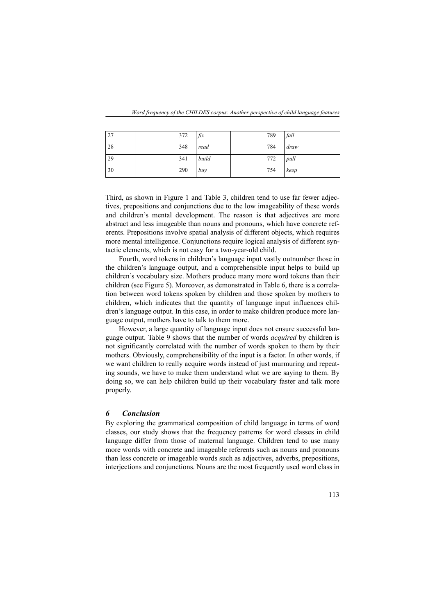| 27 | 372 | fix   | 789 | fall |
|----|-----|-------|-----|------|
| 28 | 348 | read  | 784 | draw |
| 29 | 341 | build | 772 | pull |
| 30 | 290 | buy   | 754 | keep |

Third, as shown in Figure 1 and Table 3, children tend to use far fewer adjectives, prepositions and conjunctions due to the low imageability of these words and children's mental development. The reason is that adjectives are more abstract and less imageable than nouns and pronouns, which have concrete referents. Prepositions involve spatial analysis of different objects, which requires more mental intelligence. Conjunctions require logical analysis of different syntactic elements, which is not easy for a two-year-old child.

Fourth, word tokens in children's language input vastly outnumber those in the children's language output, and a comprehensible input helps to build up children's vocabulary size. Mothers produce many more word tokens than their children (see Figure 5). Moreover, as demonstrated in Table 6, there is a correlation between word tokens spoken by children and those spoken by mothers to children, which indicates that the quantity of language input influences children's language output. In this case, in order to make children produce more language output, mothers have to talk to them more.

However, a large quantity of language input does not ensure successful language output. Table 9 shows that the number of words *acquired* by children is not significantly correlated with the number of words spoken to them by their mothers. Obviously, comprehensibility of the input is a factor. In other words, if we want children to really acquire words instead of just murmuring and repeating sounds, we have to make them understand what we are saying to them. By doing so, we can help children build up their vocabulary faster and talk more properly.

## *6 Conclusion*

By exploring the grammatical composition of child language in terms of word classes, our study shows that the frequency patterns for word classes in child language differ from those of maternal language. Children tend to use many more words with concrete and imageable referents such as nouns and pronouns than less concrete or imageable words such as adjectives, adverbs, prepositions, interjections and conjunctions. Nouns are the most frequently used word class in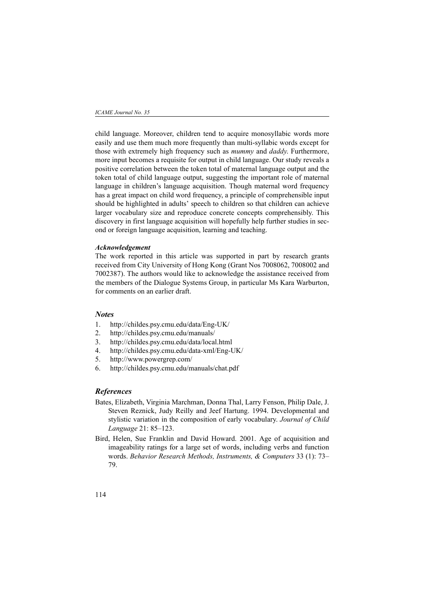child language. Moreover, children tend to acquire monosyllabic words more easily and use them much more frequently than multi-syllabic words except for those with extremely high frequency such as *mummy* and *daddy*. Furthermore, more input becomes a requisite for output in child language. Our study reveals a positive correlation between the token total of maternal language output and the token total of child language output, suggesting the important role of maternal language in children's language acquisition. Though maternal word frequency has a great impact on child word frequency, a principle of comprehensible input should be highlighted in adults' speech to children so that children can achieve larger vocabulary size and reproduce concrete concepts comprehensibly. This discovery in first language acquisition will hopefully help further studies in second or foreign language acquisition, learning and teaching.

#### *Acknowledgement*

The work reported in this article was supported in part by research grants received from City University of Hong Kong (Grant Nos 7008062, 7008002 and 7002387). The authors would like to acknowledge the assistance received from the members of the Dialogue Systems Group, in particular Ms Kara Warburton, for comments on an earlier draft.

### *Notes*

- 1. http://childes.psy.cmu.edu/data/Eng-UK/
- 2. http://childes.psy.cmu.edu/manuals/
- 3. http://childes.psy.cmu.edu/data/local.html
- 4. http://childes.psy.cmu.edu/data-xml/Eng-UK/
- 5. http://www.powergrep.com/
- 6. http://childes.psy.cmu.edu/manuals/chat.pdf

#### *References*

- Bates, Elizabeth, Virginia Marchman, Donna Thal, Larry Fenson, Philip Dale, J. Steven Reznick, Judy Reilly and Jeef Hartung. 1994. Developmental and stylistic variation in the composition of early vocabulary. *Journal of Child Language* 21: 85–123.
- Bird, Helen, Sue Franklin and David Howard. 2001. Age of acquisition and imageability ratings for a large set of words, including verbs and function words. *Behavior Research Methods, Instruments, & Computers* 33 (1): 73– 79.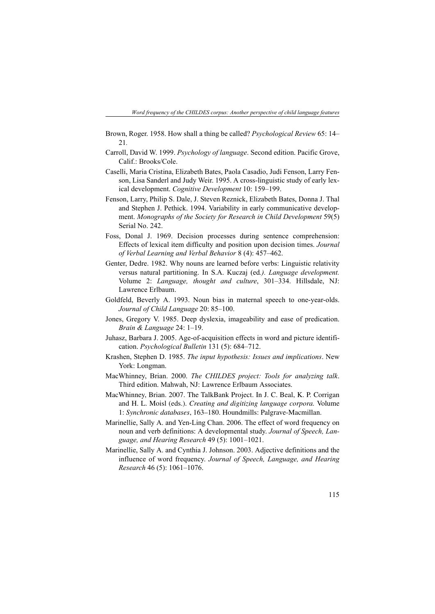- Brown, Roger. 1958. How shall a thing be called? *Psychological Review* 65: 14– 21*.*
- Carroll, David W. 1999. *Psychology of language*. Second edition. Pacific Grove, Calif.: Brooks/Cole.
- Caselli, Maria Cristina, Elizabeth Bates, Paola Casadio, Judi Fenson, Larry Fenson, Lisa Sanderl and Judy Weir. 1995. A cross-linguistic study of early lexical development. *Cognitive Development* 10: 159–199.
- Fenson, Larry, Philip S. Dale, J. Steven Reznick, Elizabeth Bates, Donna J. Thal and Stephen J. Pethick. 1994. Variability in early communicative development. *Monographs of the Society for Research in Child Development* 59(5) Serial No. 242.
- Foss, Donal J. 1969. Decision processes during sentence comprehension: Effects of lexical item difficulty and position upon decision times. *Journal of Verbal Learning and Verbal Behavior* 8 (4): 457–462.
- Genter, Dedre. 1982. Why nouns are learned before verbs: Linguistic relativity versus natural partitioning. In S.A. Kuczaj (ed*.). Language development.* Volume 2: *Language, thought and culture*, 301–334. Hillsdale, NJ: Lawrence Erlbaum.
- Goldfeld, Beverly A. 1993. Noun bias in maternal speech to one-year-olds. *Journal of Child Language* 20: 85–100.
- Jones, Gregory V. 1985. Deep dyslexia, imageability and ease of predication. *Brain & Language* 24: 1–19.
- Juhasz, Barbara J. 2005. Age-of-acquisition effects in word and picture identification. *Psychological Bulletin* 131 (5): 684–712.
- Krashen, Stephen D. 1985. *The input hypothesis: Issues and implications*. New York: Longman.
- MacWhinney, Brian. 2000. *The CHILDES project: Tools for analyzing talk*. Third edition. Mahwah, NJ: Lawrence Erlbaum Associates.
- MacWhinney, Brian. 2007. The TalkBank Project. In J. C. Beal, K. P. Corrigan and H. L. Moisl (eds.). *Creating and digitizing language corpora.* Volume 1: *Synchronic databases*, 163–180. Houndmills: Palgrave-Macmillan.
- Marinellie, Sally A. and Yen-Ling Chan. 2006. The effect of word frequency on noun and verb definitions: A developmental study. *Journal of Speech, Language, and Hearing Research* 49 (5): 1001–1021.
- Marinellie, Sally A. and Cynthia J. Johnson. 2003. Adjective definitions and the influence of word frequency. *Journal of Speech, Language, and Hearing Research* 46 (5): 1061–1076.